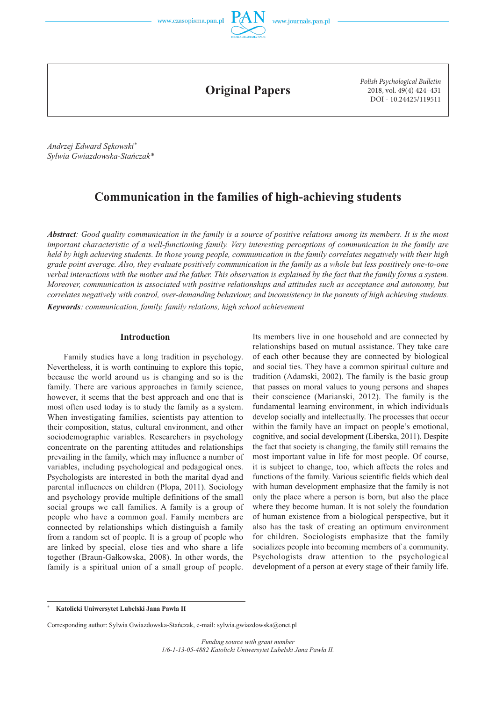



**Original Papers**

*Polish Psychological Bulletin* 2018, vol. 49(4) 424–431 DOI - 10.24425/119511

*Andrzej Edward Sękowski\* Sylwia Gwiazdowska-Stańczak\**

# **Communication in the families of high-achieving students**

*Abstract: Good quality communication in the family is a source of positive relations among its members. It is the most important characteristic of a well-functioning family. Very interesting perceptions of communication in the family are held by high achieving students. In those young people, communication in the family correlates negatively with their high grade point average. Also, they evaluate positively communication in the family as a whole but less positively one-to-one verbal interactions with the mother and the father. This observation is explained by the fact that the family forms a system. Moreover, communication is associated with positive relationships and attitudes such as acceptance and autonomy, but correlates negatively with control, over-demanding behaviour, and inconsistency in the parents of high achieving students. Keywords: communication, family, family relations, high school achievement*

#### **Introduction**

Family studies have a long tradition in psychology. Nevertheless, it is worth continuing to explore this topic, because the world around us is changing and so is the family. There are various approaches in family science, however, it seems that the best approach and one that is most often used today is to study the family as a system. When investigating families, scientists pay attention to their composition, status, cultural environment, and other sociodemographic variables. Researchers in psychology concentrate on the parenting attitudes and relationships prevailing in the family, which may influence a number of variables, including psychological and pedagogical ones. Psychologists are interested in both the marital dyad and parental influences on children (Plopa, 2011). Sociology and psychology provide multiple definitions of the small social groups we call families. A family is a group of people who have a common goal. Family members are connected by relationships which distinguish a family from a random set of people. It is a group of people who are linked by special, close ties and who share a life together (Braun-Gałkowska, 2008). In other words, the family is a spiritual union of a small group of people. Its members live in one household and are connected by relationships based on mutual assistance. They take care of each other because they are connected by biological and social ties. They have a common spiritual culture and tradition (Adamski, 2002). The family is the basic group that passes on moral values to young persons and shapes their conscience (Marianski, 2012). The family is the fundamental learning environment, in which individuals develop socially and intellectually. The processes that occur within the family have an impact on people's emotional, cognitive, and social development (Liberska, 2011). Despite the fact that society is changing, the family still remains the most important value in life for most people. Of course, it is subject to change, too, which affects the roles and functions of the family. Various scientific fields which deal with human development emphasize that the family is not only the place where a person is born, but also the place where they become human. It is not solely the foundation of human existence from a biological perspective, but it also has the task of creating an optimum environment for children. Sociologists emphasize that the family socializes people into becoming members of a community. Psychologists draw attention to the psychological development of a person at every stage of their family life.

**<sup>\*</sup> Katolicki Uniwersytet Lubelski Jana Pawła II**

Corresponding author: Sylwia Gwiazdowska-Stańczak, e-mail: sylwia.gwiazdowska@onet.pl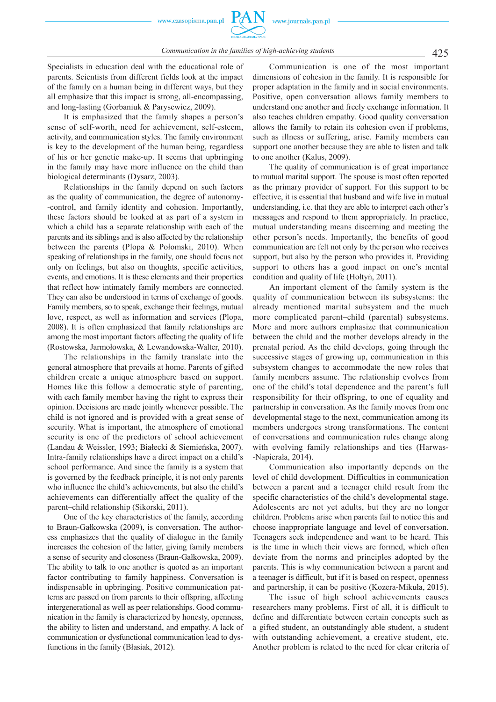Specialists in education deal with the educational role of parents. Scientists from different fields look at the impact of the family on a human being in different ways, but they all emphasize that this impact is strong, all-encompassing, and long-lasting (Gorbaniuk & Parysewicz, 2009).

It is emphasized that the family shapes a person's sense of self-worth, need for achievement, self-esteem, activity, and communication styles. The family environment is key to the development of the human being, regardless of his or her genetic make-up. It seems that upbringing in the family may have more influence on the child than biological determinants (Dysarz, 2003).

Relationships in the family depend on such factors as the quality of communication, the degree of autonomy- -control, and family identity and cohesion. Importantly, these factors should be looked at as part of a system in which a child has a separate relationship with each of the parents and its siblings and is also affected by the relationship between the parents (Plopa & Połomski, 2010). When speaking of relationships in the family, one should focus not only on feelings, but also on thoughts, specific activities, events, and emotions. It is these elements and their properties that reflect how intimately family members are connected. They can also be understood in terms of exchange of goods. Family members, so to speak, exchange their feelings, mutual love, respect, as well as information and services (Plopa, 2008). It is often emphasized that family relationships are among the most important factors affecting the quality of life (Rostowska, Jarmołowska, & Lewandowska-Walter, 2010).

The relationships in the family translate into the general atmosphere that prevails at home. Parents of gifted children create a unique atmosphere based on support. Homes like this follow a democratic style of parenting, with each family member having the right to express their opinion. Decisions are made jointly whenever possible. The child is not ignored and is provided with a great sense of security. What is important, the atmosphere of emotional security is one of the predictors of school achievement (Landau & Weissler, 1993; Białecki & Siemieńska, 2007). Intra-family relationships have a direct impact on a child's school performance. And since the family is a system that is governed by the feedback principle, it is not only parents who influence the child's achievements, but also the child's achievements can differentially affect the quality of the parent–child relationship (Sikorski, 2011).

One of the key characteristics of the family, according to Braun-Gałkowska (2009), is conversation. The authoress emphasizes that the quality of dialogue in the family increases the cohesion of the latter, giving family members a sense of security and closeness (Braun-Gałkowska, 2009). The ability to talk to one another is quoted as an important factor contributing to family happiness. Conversation is indispensable in upbringing. Positive communication patterns are passed on from parents to their offspring, affecting intergenerational as well as peer relationships. Good communication in the family is characterized by honesty, openness, the ability to listen and understand, and empathy. A lack of communication or dysfunctional communication lead to dysfunctions in the family (Błasiak, 2012).

Communication is one of the most important dimensions of cohesion in the family. It is responsible for proper adaptation in the family and in social environments. Positive, open conversation allows family members to understand one another and freely exchange information. It also teaches children empathy. Good quality conversation allows the family to retain its cohesion even if problems, such as illness or suffering, arise. Family members can support one another because they are able to listen and talk to one another (Kalus, 2009).

The quality of communication is of great importance to mutual marital support. The spouse is most often reported as the primary provider of support. For this support to be effective, it is essential that husband and wife live in mutual understanding, i.e. that they are able to interpret each other's messages and respond to them appropriately. In practice, mutual understanding means discerning and meeting the other person's needs. Importantly, the benefits of good communication are felt not only by the person who receives support, but also by the person who provides it. Providing support to others has a good impact on one's mental condition and quality of life (Hołtyń, 2011).

An important element of the family system is the quality of communication between its subsystems: the already mentioned marital subsystem and the much more complicated parent–child (parental) subsystems. More and more authors emphasize that communication between the child and the mother develops already in the prenatal period. As the child develops, going through the successive stages of growing up, communication in this subsystem changes to accommodate the new roles that family members assume. The relationship evolves from one of the child's total dependence and the parent's full responsibility for their offspring, to one of equality and partnership in conversation. As the family moves from one developmental stage to the next, communication among its members undergoes strong transformations. The content of conversations and communication rules change along with evolving family relationships and ties (Harwas- -Napierała, 2014).

Communication also importantly depends on the level of child development. Difficulties in communication between a parent and a teenager child result from the specific characteristics of the child's developmental stage. Adolescents are not yet adults, but they are no longer children. Problems arise when parents fail to notice this and choose inappropriate language and level of conversation. Teenagers seek independence and want to be heard. This is the time in which their views are formed, which often deviate from the norms and principles adopted by the parents. This is why communication between a parent and a teenager is difficult, but if it is based on respect, openness and partnership, it can be positive (Kozera-Mikuła, 2015).

The issue of high school achievements causes researchers many problems. First of all, it is difficult to define and differentiate between certain concepts such as a gifted student, an outstandingly able student, a student with outstanding achievement, a creative student, etc. Another problem is related to the need for clear criteria of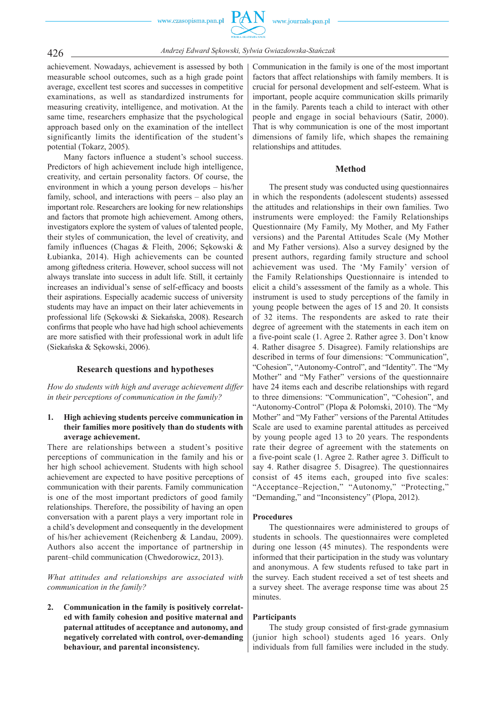achievement. Nowadays, achievement is assessed by both measurable school outcomes, such as a high grade point average, excellent test scores and successes in competitive examinations, as well as standardized instruments for measuring creativity, intelligence, and motivation. At the same time, researchers emphasize that the psychological approach based only on the examination of the intellect significantly limits the identification of the student's potential (Tokarz, 2005).

Many factors influence a student's school success. Predictors of high achievement include high intelligence, creativity, and certain personality factors. Of course, the environment in which a young person develops – his/her family, school, and interactions with peers – also play an important role. Researchers are looking for new relationships and factors that promote high achievement. Among others, investigators explore the system of values of talented people, their styles of communication, the level of creativity, and family influences (Chagas & Fleith, 2006; Sękowski & Łubianka, 2014). High achievements can be counted among giftedness criteria. However, school success will not always translate into success in adult life. Still, it certainly increases an individual's sense of self-efficacy and boosts their aspirations. Especially academic success of university students may have an impact on their later achievements in professional life (Sękowski & Siekańska, 2008). Research confirms that people who have had high school achievements are more satisfied with their professional work in adult life (Siekańska & Sękowski, 2006).

## **Research questions and hypotheses**

*How do students with high and average achievement differ in their perceptions of communication in the family?*

# **1. High achieving students perceive communication in their families more positively than do students with average achievement.**

There are relationships between a student's positive perceptions of communication in the family and his or her high school achievement. Students with high school achievement are expected to have positive perceptions of communication with their parents. Family communication is one of the most important predictors of good family relationships. Therefore, the possibility of having an open conversation with a parent plays a very important role in a child's development and consequently in the development of his/her achievement (Reichenberg & Landau, 2009). Authors also accent the importance of partnership in parent–child communication (Chwedorowicz, 2013).

*What attitudes and relationships are associated with communication in the family?*

**2. Communication in the family is positively correlated with family cohesion and positive maternal and paternal attitudes of acceptance and autonomy, and negatively correlated with control, over-demanding behaviour, and parental inconsistency.**

Communication in the family is one of the most important factors that affect relationships with family members. It is crucial for personal development and self-esteem. What is important, people acquire communication skills primarily in the family. Parents teach a child to interact with other people and engage in social behaviours (Satir, 2000). That is why communication is one of the most important dimensions of family life, which shapes the remaining relationships and attitudes.

#### **Method**

The present study was conducted using questionnaires in which the respondents (adolescent students) assessed the attitudes and relationships in their own families. Two instruments were employed: the Family Relationships Questionnaire (My Family, My Mother, and My Father versions) and the Parental Attitudes Scale (My Mother and My Father versions). Also a survey designed by the present authors, regarding family structure and school achievement was used. The 'My Family' version of the Family Relationships Questionnaire is intended to elicit a child's assessment of the family as a whole. This instrument is used to study perceptions of the family in young people between the ages of 15 and 20. It consists of 32 items. The respondents are asked to rate their degree of agreement with the statements in each item on a five-point scale (1. Agree 2. Rather agree 3. Don't know 4. Rather disagree 5. Disagree). Family relationships are described in terms of four dimensions: "Communication", "Cohesion", "Autonomy-Control", and "Identity". The "My Mother" and "My Father" versions of the questionnaire have 24 items each and describe relationships with regard to three dimensions: "Communication", "Cohesion", and "Autonomy-Control" (Plopa & Połomski, 2010). The "My Mother" and "My Father" versions of the Parental Attitudes Scale are used to examine parental attitudes as perceived by young people aged 13 to 20 years. The respondents rate their degree of agreement with the statements on a five-point scale (1. Agree 2. Rather agree 3. Difficult to say 4. Rather disagree 5. Disagree). The questionnaires consist of 45 items each, grouped into five scales: "Acceptance–Rejection," "Autonomy," "Protecting," "Demanding," and "Inconsistency" (Plopa, 2012).

#### **Procedures**

The questionnaires were administered to groups of students in schools. The questionnaires were completed during one lesson (45 minutes). The respondents were informed that their participation in the study was voluntary and anonymous. A few students refused to take part in the survey. Each student received a set of test sheets and a survey sheet. The average response time was about 25 minutes.

## **Participants**

The study group consisted of first-grade gymnasium (junior high school) students aged 16 years. Only individuals from full families were included in the study.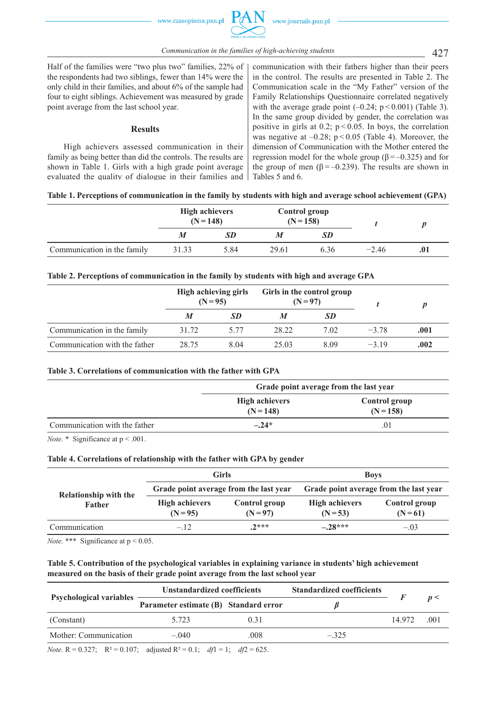427 *Communication in the families of high-achieving students*

Half of the families were "two plus two" families, 22% of the respondents had two siblings, fewer than 14% were the only child in their families, and about 6% of the sample had four to eight siblings. Achievement was measured by grade point average from the last school year.

## **Results**

High achievers assessed communication in their family as being better than did the controls. The results are shown in Table 1. Girls with a high grade point average evaluated the quality of dialogue in their families and communication with their fathers higher than their peers in the control. The results are presented in Table 2. The Communication scale in the "My Father" version of the Family Relationships Questionnaire correlated negatively with the average grade point  $(-0.24; p < 0.001)$  (Table 3). In the same group divided by gender, the correlation was positive in girls at 0.2;  $p < 0.05$ . In boys, the correlation was negative at  $-0.28$ ;  $p < 0.05$  (Table 4). Moreover, the dimension of Communication with the Mother entered the regression model for the whole group ( $β = -0.325$ ) and for the group of men  $(\beta = -0.239)$ . The results are shown in Tables 5 and 6.

# **Table 1. Perceptions of communication in the family by students with high and average school achievement (GPA)**

|                             | <b>High achievers</b><br>$(N = 148)$ |           | <b>Control group</b><br>$(N=158)$ |           |         |     |
|-----------------------------|--------------------------------------|-----------|-----------------------------------|-----------|---------|-----|
|                             | M                                    | <b>SD</b> |                                   | <b>SD</b> |         |     |
| Communication in the family | 31.33                                | 5.84      | 29.61                             | 6.36      | $-2.46$ | .01 |

## **Table 2. Perceptions of communication in the family by students with high and average GPA**

|                               | High achieving girls<br>$(N = 95)$ |      | Girls in the control group<br>$(N = 97)$ |           |         |      |  |
|-------------------------------|------------------------------------|------|------------------------------------------|-----------|---------|------|--|
|                               | M                                  | SD.  |                                          | <b>SD</b> |         |      |  |
| Communication in the family   | 31.72                              | 5.77 | 28 22                                    | 7.02      | $-3.78$ | .001 |  |
| Communication with the father | 28.75                              | 8.04 | 25.03                                    | 8.09      | $-319$  | .002 |  |

## Table 3. Correlations of communication with the father with GPA

|                               | Grade point average from the last year |                                     |  |  |  |  |
|-------------------------------|----------------------------------------|-------------------------------------|--|--|--|--|
|                               | <b>High achievers</b><br>$(N = 148)$   | <b>Control</b> group<br>$(N = 158)$ |  |  |  |  |
| Communication with the father | $-.24*$                                | 01                                  |  |  |  |  |

*Note.* \* Significance at  $p < .001$ .

## **Table 4. Correlations of relationship with the father with GPA by gender**

|                              |                                     | <b>Girls</b>                           | <b>Boys</b>                            |                           |  |  |  |
|------------------------------|-------------------------------------|----------------------------------------|----------------------------------------|---------------------------|--|--|--|
| <b>Relationship with the</b> |                                     | Grade point average from the last year | Grade point average from the last year |                           |  |  |  |
| Father                       | <b>High achievers</b><br>$(N = 95)$ | Control group<br>$(N = 97)$            | <b>High achievers</b><br>$(N=53)$      | Control group<br>$(N=61)$ |  |  |  |
| Communication                | $-.12$                              | $2***$                                 | $-28***$                               | $-.03$                    |  |  |  |

*Note.* \*\*\* Significance at  $p < 0.05$ .

# **Table 5. Contribution of the psychological variables in explaining variance in students' high achievement measured on the basis of their grade point average from the last school year**

|        |      | <b>Standardized coefficients</b>                                     |        |      |
|--------|------|----------------------------------------------------------------------|--------|------|
|        |      |                                                                      |        | n<   |
| 5 723  | 0.31 |                                                                      | 14 972 | .001 |
| $-040$ | .008 | $-.325$                                                              |        |      |
|        |      | Unstandardized coefficients<br>Parameter estimate (B) Standard error |        |      |

*Note.*  $R = 0.327$ ;  $R^2 = 0.107$ ; adjusted  $R^2 = 0.1$ ;  $df1 = 1$ ;  $df2 = 625$ .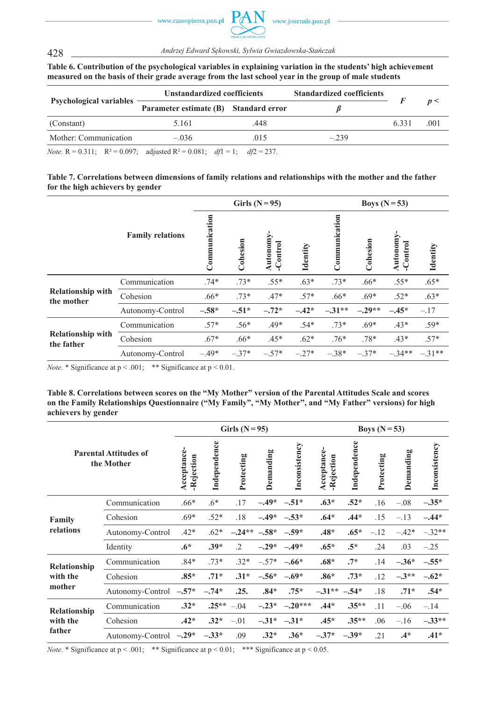

428 *Andrzej Edward Sękowski, Sylwia Gwiazdowska-Stańczak*

**Table 6. Contribution of the psychological variables in explaining variation in the students' high achievement measured on the basis of their grade average from the last school year in the group of male students**

|                                                                                             | Unstandardized coefficients           |     | <b>Standardized coefficients</b> |      |      |
|---------------------------------------------------------------------------------------------|---------------------------------------|-----|----------------------------------|------|------|
| <b>Psychological variables</b>                                                              | Parameter estimate (B) Standard error |     |                                  | 6331 | n<   |
| (Constant)                                                                                  | 5.161                                 | 448 |                                  |      | .001 |
| Mother: Communication                                                                       | $-036$                                | 015 | $-239$                           |      |      |
| $N_{\text{obs}}$ D = 0.211. D2 = 0.007. adjusted D2 = 0.001. $d\theta$ = 1. $d\theta$ = 227 |                                       |     |                                  |      |      |

*Note.*  $R = 0.311$ ;  $R^2 = 0.097$ ; adjusted  $R^2 = 0.081$ ;  $df1 = 1$ ;  $df2 = 237$ .

| Table 7. Correlations between dimensions of family relations and relationships with the mother and the father |  |  |
|---------------------------------------------------------------------------------------------------------------|--|--|
| for the high achievers by gender                                                                              |  |  |

|                                        |                         |               |          | Girls $(N=95)$      |                 | Boys $(N=53)$ |          |                           |          |  |
|----------------------------------------|-------------------------|---------------|----------|---------------------|-----------------|---------------|----------|---------------------------|----------|--|
|                                        | <b>Family relations</b> | Communication | Cohesion | Autonomy<br>Control | <b>Identity</b> | Communication | Cohesion | Autonomy<br>$\frac{1}{2}$ | Identity |  |
|                                        | Communication           | $.74*$        | $.73*$   | $.55*$              | $.63*$          | $.73*$        | $.66*$   | $.55*$                    | $.65*$   |  |
| <b>Relationship with</b><br>the mother | Cohesion                | $.66*$        | $.73*$   | $.47*$              | $.57*$          | $.66*$        | $.69*$   | $.52*$                    | $.63*$   |  |
|                                        | Autonomy-Control        | $-.58*$       | $-.51*$  | $-.72*$             | $-.42*$         | $-.31**$      | $-.29**$ | $-.45*$                   | $-.17$   |  |
| <b>Relationship with</b><br>the father | Communication           | $.57*$        | $.56*$   | $.49*$              | $.54*$          | $.73*$        | $.69*$   | $.43*$                    | $.59*$   |  |
|                                        | Cohesion                | $.67*$        | $.66*$   | $.45*$              | $.62*$          | $.76*$        | $.78*$   | $.43*$                    | $.57*$   |  |
|                                        | Autonomy-Control        | $-.49*$       | $-.37*$  | $-.57*$             | $-.27*$         | $-.38*$       | $-.37*$  | $-.34**$                  | $-31**$  |  |

*Note.* \* Significance at  $p < .001$ ; \*\* Significance at  $p < 0.01$ .

**Table 8. Correlations between scores on the "My Mother" version of the Parental Attitudes Scale and scores on the Family Relationships Questionnaire ("My Family", "My Mother", and "My Father" versions) for high achievers by gender**

|              |                                            |                           | Girls $(N=95)$ |            | Boys $(N=53)$ |                   |                           |              |            |           |               |
|--------------|--------------------------------------------|---------------------------|----------------|------------|---------------|-------------------|---------------------------|--------------|------------|-----------|---------------|
|              | <b>Parental Attitudes of</b><br>the Mother | Acceptance-<br>-Rejection | Independence   | Protecting | Demanding     | Inconsistency     | Acceptance-<br>-Rejection | Independence | Protecting | Demanding | Inconsistency |
|              | Communication                              | $.66*$                    | $.6*$          | .17        | $-.49*$       | $-.51*$           | $.63*$                    | $.52*$       | .16        | $-.08$    | $-.35*$       |
| Family       | Cohesion                                   | $.69*$                    | $.52*$         | .18        | $-.49*$       | $-.53*$           | $.64*$                    | $.44*$       | .15        | $-.13$    | $-.44*$       |
| relations    | Autonomy-Control                           | $.42*$                    | $.62*$         | $-.24**$   | $-.58*$       | $-.59*$           | $.48*$                    | $.65*$       | $-.12$     | $-.42*$   | $-.32**$      |
|              | Identity                                   | $.6*$                     | $.39*$         | $\cdot$ .2 | $-.29*$       | $-.49*$           | $.65*$                    | $.5*$        | .24        | .03       | $-.25$        |
| Relationship | Communication                              | $.84*$                    | $.73*$         | $.32*$     | $-.57*$       | $-.66*$           | $.68*$                    | $.7*$        | .14        | $-.36*$   | $-.55*$       |
| with the     | Cohesion                                   | $.85*$                    | $.71*$         | $.31*$     | $-.56*$       | $-.69*$           | $.86*$                    | $.73*$       | .12        | $-3**$    | $-.62*$       |
| mother       | Autonomy-Control                           | $-.57*$                   | $-.74*$        | .25.       | $.84*$        | $.75*$            | $-.31**-.54*$             |              | .18        | $.71*$    | $.54*$        |
| Relationship | Communication                              | $.32*$                    | $.25**$        | $-.04$     | $-.23*$       | $-.20***$         | $.44*$                    | $.35**$      | .11        | $-.06$    | $-.14$        |
| with the     | Cohesion                                   | $.42*$                    | $.32*$         | $-.01$     |               | $-.31^*$ $-.31^*$ | $.45*$                    | $.35**$      | .06        | $-.16$    | $-.33**$      |
| father       | Autonomy-Control -.29*                     |                           | $-.33*$        | .09        | $.32*$        | $.36*$            | $-.37*$                   | $-.39*$      | .21        | $.4*$     | $.41*$        |

*Note.* \* Significance at  $p < .001$ ; \*\* Significance at  $p < 0.01$ ; \*\*\* Significance at  $p < 0.05$ .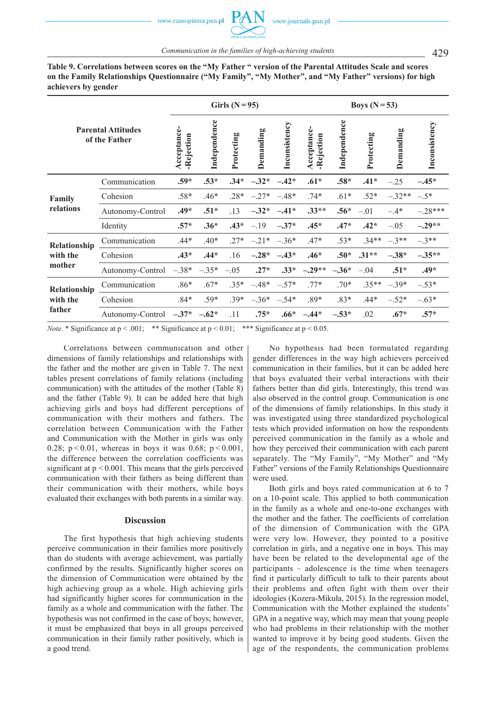**Table 9. Correlations between scores on the "My Father " version of the Parental Attitudes Scale and scores on the Family Relationships Questionnaire ("My Family", "My Mother", and "My Father" versions) for high achievers by gender**

|              | Girls $(N=95)$                             |                           |              |            |           | Boys $(N=53)$ |                           |              |            |           |               |
|--------------|--------------------------------------------|---------------------------|--------------|------------|-----------|---------------|---------------------------|--------------|------------|-----------|---------------|
|              | <b>Parental Attitudes</b><br>of the Father | Acceptance-<br>-Rejection | Independence | Protecting | Demanding | Inconsistency | Acceptance-<br>-Rejection | Independence | Protecting | Demanding | Inconsistency |
|              | Communication                              | $.59*$                    | $.53*$       | $.34*$     | $-.32*$   | $-.42*$       | $.61*$                    | $.58*$       | $.41*$     | $-.25$    | $-.45*$       |
| Family       | Cohesion                                   | .58*                      | .46*         | $.28*$     | $-.27*$   | $-.48*$       | $.74*$                    | $.61*$       | $.52*$     | $-.32**$  | $-.5*$        |
| relations    | Autonomy-Control                           | $.49*$                    | $.51*$       | .13        | $-.32*$   | $-.41*$       | $.33**$                   | $.56*$       | $-.01$     | $-.4*$    | $-.28***$     |
|              | Identity                                   | $.57*$                    | $.36*$       | $.43*$     | $-.19$    | $-.37*$       | $.45*$                    | $.47*$       | $.42*$     | $-.05$    | $-.29**$      |
| Relationship | Communication                              | $.44*$                    | $.40*$       | $.27*$     | $-.21*$   | $-.36*$       | $.47*$                    | $.53*$       | $.34**$    | $-3**$    | $-3**$        |
| with the     | Cohesion                                   | $.43*$                    | $.44*$       | .16        | $-.28*$   | $-.43*$       | $.46*$                    | $.50*$       | $.31**$    | $-.38*$   | $-.35**$      |
| mother       | Autonomy-Control                           | $-.38*$                   | $-.35*$      | $-.05$     | $.27*$    | $.33*$        | $-.29**$                  | $-.36*$      | $-.04$     | $.51*$    | $.49*$        |
| Relationship | Communication                              | $.86*$                    | $.67*$       | $.35*$     | $-.48*$   | $-.57*$       | $.77*$                    | $.70*$       | $.35**$    | $-.39*$   | $-.53*$       |
| with the     | Cohesion                                   | $.84*$                    | $.59*$       | $.39*$     | $-.36*$   | $-.54*$       | $.89*$                    | $.83*$       | $.44*$     | $-.52*$   | $-.63*$       |
| father       | Autonomy-Control $-.37*$                   |                           | $-.62*$      | .11        | $.75*$    | $.66*$        | $-.44*$                   | $-.53*$      | .02        | $.67*$    | $.57*$        |

*Note.* \* Significance at  $p < .001$ ; \*\* Significance at  $p < 0.01$ ; \*\*\* Significance at  $p < 0.05$ .

Correlations between communication and other dimensions of family relationships and relationships with the father and the mother are given in Table 7. The next tables present correlations of family relations (including communication) with the attitudes of the mother (Table 8) and the father (Table 9). It can be added here that high achieving girls and boys had different perceptions of communication with their mothers and fathers. The correlation between Communication with the Father and Communication with the Mother in girls was only 0.28;  $p < 0.01$ , whereas in boys it was 0.68;  $p < 0.001$ , the difference between the correlation coefficients was significant at  $p < 0.001$ . This means that the girls perceived communication with their fathers as being different than their communication with their mothers, while boys evaluated their exchanges with both parents in a similar way.

#### **Discussion**

The first hypothesis that high achieving students perceive communication in their families more positively than do students with average achievement, was partially confirmed by the results. Significantly higher scores on the dimension of Communication were obtained by the high achieving group as a whole. High achieving girls had significantly higher scores for communication in the family as a whole and communication with the father. The hypothesis was not confirmed in the case of boys; however, it must be emphasized that boys in all groups perceived communication in their family rather positively, which is a good trend.

No hypothesis had been formulated regarding gender differences in the way high achievers perceived communication in their families, but it can be added here that boys evaluated their verbal interactions with their fathers better than did girls. Interestingly, this trend was also observed in the control group. Communication is one of the dimensions of family relationships. In this study it was investigated using three standardized psychological tests which provided information on how the respondents perceived communication in the family as a whole and how they perceived their communication with each parent separately. The "My Family", "My Mother" and "My Father" versions of the Family Relationships Questionnaire were used.

Both girls and boys rated communication at 6 to 7 on a 10-point scale. This applied to both communication in the family as a whole and one-to-one exchanges with the mother and the father. The coefficients of correlation of the dimension of Communication with the GPA were very low. However, they pointed to a positive correlation in girls, and a negative one in boys. This may have been be related to the developmental age of the participants – adolescence is the time when teenagers find it particularly difficult to talk to their parents about their problems and often fight with them over their ideologies (Kozera-Mikuła, 2015). In the regression model, Communication with the Mother explained the students' GPA in a negative way, which may mean that young people who had problems in their relationship with the mother wanted to improve it by being good students. Given the age of the respondents, the communication problems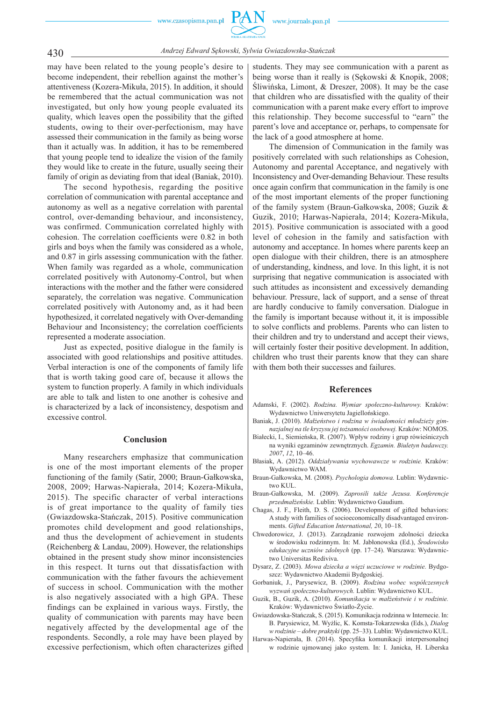

430 *Andrzej Edward Sękowski, Sylwia Gwiazdowska-Stańczak*

may have been related to the young people's desire to become independent, their rebellion against the mother's attentiveness (Kozera-Mikuła, 2015). In addition, it should be remembered that the actual communication was not investigated, but only how young people evaluated its quality, which leaves open the possibility that the gifted students, owing to their over-perfectionism, may have assessed their communication in the family as being worse than it actually was. In addition, it has to be remembered that young people tend to idealize the vision of the family they would like to create in the future, usually seeing their family of origin as deviating from that ideal (Baniak, 2010).

The second hypothesis, regarding the positive correlation of communication with parental acceptance and autonomy as well as a negative correlation with parental control, over-demanding behaviour, and inconsistency, was confirmed. Communication correlated highly with cohesion. The correlation coefficients were 0.82 in both girls and boys when the family was considered as a whole, and 0.87 in girls assessing communication with the father. When family was regarded as a whole, communication correlated positively with Autonomy-Control, but when interactions with the mother and the father were considered separately, the correlation was negative. Communication correlated positively with Autonomy and, as it had been hypothesized, it correlated negatively with Over-demanding Behaviour and Inconsistency; the correlation coefficients represented a moderate association.

Just as expected, positive dialogue in the family is associated with good relationships and positive attitudes. Verbal interaction is one of the components of family life that is worth taking good care of, because it allows the system to function properly. A family in which individuals are able to talk and listen to one another is cohesive and is characterized by a lack of inconsistency, despotism and excessive control.

#### **Con clusion**

Many researchers emphasize that communication is one of the most important elements of the proper functioning of the family (Satir, 2000; Braun-Gałkowska, 2008, 2009; Harwas-Napierała, 2014; Kozera-Mikuła, 2015). The specific character of verbal interactions is of great importance to the quality of family ties (Gwiazdowska-Stańczak, 2015). Positive communication promotes child development and good relationships, and thus the development of achievement in students (Reichenberg  $&$  Landau, 2009). However, the relationships obtained in the present study show minor inconsistencies in this respect. It turns out that dissatisfaction with communication with the father favours the achievement of success in school. Communication with the mother is also negatively associated with a high GPA. These findings can be explained in various ways. Firstly, the quality of communication with parents may have been negatively affected by the developmental age of the respondents. Secondly, a role may have been played by excessive perfectionism, which often characterizes gifted students. They may see communication with a parent as being worse than it really is (Sękowski & Knopik, 2008; Śliwińska, Limont, & Dreszer, 2008). It may be the case that children who are dissatisfied with the quality of their communication with a parent make every effort to improve this relationship. They become successful to "earn" the parent's love and acceptance or, perhaps, to compensate for the lack of a good atmosphere at home.

The dimension of Communication in the family was positively correlated with such relationships as Cohesion, Autonomy and parental Acceptance, and negatively with Inconsistency and Over-demanding Behaviour. These results once again confirm that communication in the family is one of the most important elements of the proper functioning of the family system (Braun-Gałkowska, 2008; Guzik & Guzik, 2010; Harwas-Napierała, 2014; Kozera-Mikuła, 2015). Positive communication is associated with a good level of cohesion in the family and satisfaction with autonomy and acceptance. In homes where parents keep an open dialogue with their children, there is an atmosphere of understanding, kindness, and love. In this light, it is not surprising that negative communication is associated with such attitudes as inconsistent and excessively demanding behaviour. Pressure, lack of support, and a sense of threat are hardly conducive to family conversation. Dialogue in the family is important because without it, it is impossible to solve conflicts and problems. Parents who can listen to their children and try to understand and accept their views, will certainly foster their positive development. In addition, children who trust their parents know that they can share with them both their successes and failures.

#### **References**

- Adamski, F. (2002). *Rodzina. Wymiar społeczno-kulturowy.* Kraków: Wydawnictwo Uniwersytetu Jagiellońskiego.
- Baniak, J. (2010). *Małżeństwo i rodzina w świadomości młodzieży gimnazjalnej na tle kryzysu jej tożsamości osobowej.* Kraków: NOMOS.
- Białecki, I., Siemieńska, R. (2007). Wpływ rodziny i grup rówieśniczych na wyniki egzaminów zewnętrznych. *Egzamin. Biuletyn badawczy. 2007*, *12*, 10–46.
- Błasiak, A. (2012). *Oddziaływania wychowawcze w rodzinie.* Kraków: Wydawnictwo WAM.
- Braun-Gałkowska, M. (2008). *Psychologia domowa.* Lublin: Wydawnictwo KUL.
- Braun-Gałkowska, M. (2009). *Zaprosili także Jezusa. Konferencje przedmałżeńskie.* Lublin: Wydawnictwo Gaudium.
- Chagas, J. F., Fleith, D. S. (2006). Development of gifted behaviors: A study with families of socioeconomically disadvantaged environments. *Gifted Education International, 20*, 10–18.
- Chwedorowicz, J. (2013). Zarządzanie rozwojem zdolności dziecka w środowisku rodzinnym. In: M. Jabłonowska (Ed.), *Środowisko edukacyjne uczniów zdolnych* (pp. 17–24). Warszawa: Wydawnictwo Universitas Rediviva.
- Dysarz, Z. (2003). *Mowa dziecka a więzi uczuciowe w rodzinie.* Bydgoszcz: Wydawnictwo Akademii Bydgoskiej.
- Gorbaniuk, J., Parysewicz, B. (2009). *Rodzina wobec współczesnych wyzwań społeczno-kulturowych.* Lublin: Wydawnictwo KUL.
- Guzik, B., Guzik, A. (2010). *Komunikacja w małżeństwie i w rodzinie.*  Kraków: Wydawnictwo Światło-Życie.
- Gwiazdowska-Stańczak, S. (2015). Komunikacja rodzinna w Internecie. In: B. Parysiewicz, M. Wyżlic, K. Komsta-Tokarzewska (Eds.), *Dialog w rodzinie – dobre praktyki* (pp. 25–33). Lublin: Wydawnictwo KUL.
- Harwas-Napierała, B. (2014). Specyfika komunikacji interpersonalnej w rodzinie ujmowanej jako system. In: I. Janicka, H. Liberska